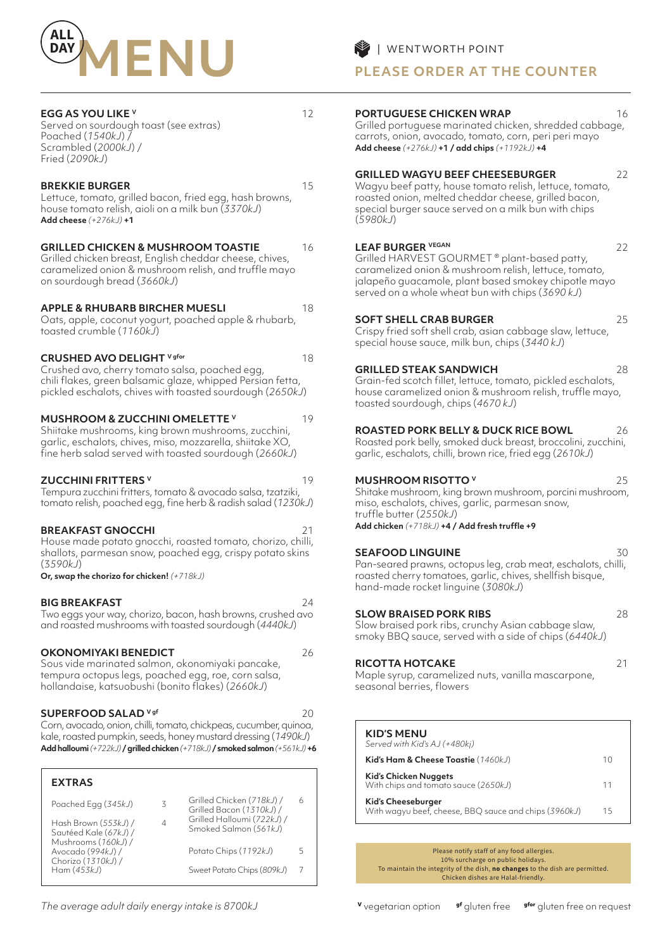

#### **EGG AS YOU LIKE V** 12

Served on sourdough toast (see extras) Poached (*1540kJ*) / Scrambled (*2000kJ*) / Fried (*2090kJ*)

#### **BREKKIE BURGER** 15

Lettuce, tomato, grilled bacon, fried egg, hash browns, house tomato relish, aioli on a milk bun (*3370kJ*) **Add cheese** *(+276kJ)* **+1**

#### **GRILLED CHICKEN & MUSHROOM TOASTIE** 16

Grilled chicken breast, English cheddar cheese, chives, caramelized onion & mushroom relish, and truffle mayo on sourdough bread (*3660kJ*)

#### **APPLE & RHUBARB BIRCHER MUESLI** 18

Oats, apple, coconut yogurt, poached apple & rhubarb, toasted crumble (*1160kJ*)

#### **CRUSHED AVO DELIGHT** V gfor **18**

Crushed avo, cherry tomato salsa, poached egg, chili flakes, green balsamic glaze, whipped Persian fetta, pickled eschalots, chives with toasted sourdough (*2650kJ*)

#### **MUSHROOM & ZUCCHINI OMELETTE V** 19

Shiitake mushrooms, king brown mushrooms, zucchini, garlic, eschalots, chives, miso, mozzarella, shiitake XO, fine herb salad served with toasted sourdough (*2660kJ*)

#### **ZUCCHINI FRITTERS V** 19

Tempura zucchini fritters, tomato & avocado salsa, tzatziki, tomato relish, poached egg, fine herb & radish salad (*1230kJ*)

#### **BREAKFAST GNOCCHI**

House made potato gnocchi, roasted tomato, chorizo, chilli, shallots, parmesan snow, poached egg, crispy potato skins (3*590kJ*)

**Or, swap the chorizo for chicken!** *(+718kJ)*

#### **BIG BREAKFAST** 24

Two eggs your way, chorizo, bacon, hash browns, crushed avo and roasted mushrooms with toasted sourdough (*4440kJ*)

#### **OKONOMIYAKI BENEDICT** 26

Sous vide marinated salmon, okonomiyaki pancake, tempura octopus legs, poached egg, roe, corn salsa, hollandaise, katsuobushi (bonito flakes) (*2660kJ*)

#### **SUPERFOOD SALAD** <sup>V gf</sup> 20

Corn, avocado, onion, chilli, tomato, chickpeas, cucumber, quinoa, kale, roasted pumpkin, seeds, honey mustard dressing (*1490kJ*) **Add halloumi** *(+722kJ)* **/ grilled chicken** *(+718kJ)* **/ smoked salmon** *(+561kJ)* **+6**

| <b>EXTRAS</b>                                                  |   |                                                       |   |
|----------------------------------------------------------------|---|-------------------------------------------------------|---|
| Poached Egg (345kJ)                                            | ζ | Grilled Chicken (718kJ) /<br>Grilled Bacon (1310kJ) / | 6 |
| Hash Brown (553kJ) /<br>Sautéed Kale (67kJ) /                  |   | Grilled Halloumi (722kJ) /<br>Smoked Salmon (561kJ)   |   |
| Mushrooms (160kJ) /<br>Avocado (994kJ) /<br>Chorizo (1310kJ) / |   | Potato Chips (1192kJ)                                 | ↖ |
| Ham(453kJ)                                                     |   | Sweet Potato Chips (809kJ)                            |   |

# **PLEASE ORDER AT THE COUNTER**

### **PORTUGUESE CHICKEN WRAP** 16

Grilled portuguese marinated chicken, shredded cabbage, carrots, onion, avocado, tomato, corn, peri peri mayo **Add cheese** *(+276kJ)* **+1 / add chips** *(+1192kJ)* **+4**

#### **GRILLED WAGYU BEEF CHEESEBURGER** 22

Wagyu beef patty, house tomato relish, lettuce, tomato, roasted onion, melted cheddar cheese, grilled bacon, special burger sauce served on a milk bun with chips (*5980kJ*)

#### **LEAF BURGER VEGAN** 22

Grilled HARVEST GOURMET ® plant-based patty, caramelized onion & mushroom relish, lettuce, tomato, jalapeño guacamole, plant based smokey chipotle mayo served on a whole wheat bun with chips (*3690 kJ*)

#### **SOFT SHELL CRAB BURGER** 25

Crispy fried soft shell crab, asian cabbage slaw, lettuce, special house sauce, milk bun, chips (*3440 kJ*)

#### **GRILLED STEAK SANDWICH** 28

Grain-fed scotch fillet, lettuce, tomato, pickled eschalots, house caramelized onion & mushroom relish, truffle mayo, toasted sourdough, chips (*4670 kJ*)

### **ROASTED PORK BELLY & DUCK RICE BOWL** 26

Roasted pork belly, smoked duck breast, broccolini, zucchini, garlic, eschalots, chilli, brown rice, fried egg (*2610kJ*)

### **MUSHROOM RISOTTO V** 25

Shitake mushroom, king brown mushroom, porcini mushroom, miso, eschalots, chives, garlic, parmesan snow, truffle butter (*2550kJ*) **Add chicken** *(+718kJ)* **+4 / Add fresh truffle +9** 

**SEAFOOD LINGUINE** 30 Pan-seared prawns, octopus leg, crab meat, eschalots, chilli, roasted cherry tomatoes, garlic, chives, shellfish bisque, hand-made rocket linguine (*3080kJ*)

#### **SLOW BRAISED PORK RIBS** 28

Slow braised pork ribs, crunchy Asian cabbage slaw, smoky BBQ sauce, served with a side of chips (*6440kJ*)

#### **RICOTTA HOTCAKE** 21

Maple syrup, caramelized nuts, vanilla mascarpone, seasonal berries, flowers

#### **KID'S MENU**   $\overline{S}$

| Served Willi Nids AJ (+460KI)                                                      |    |
|------------------------------------------------------------------------------------|----|
| Kid's Ham & Cheese Toastie (1460kJ)                                                | 10 |
| <b>Kid's Chicken Nuggets</b><br>With chips and tomato sauce (2650kJ)               | 11 |
| <b>Kid's Cheeseburger</b><br>With wagyu beef, cheese, BBQ sauce and chips (3960kJ) | 15 |

Please notify staff of any food allergies. 10% surcharge on public holidays. To maintain the integrity of the dish, **no changes** to the dish are permitted. Chicken dishes are Halal-friendly.